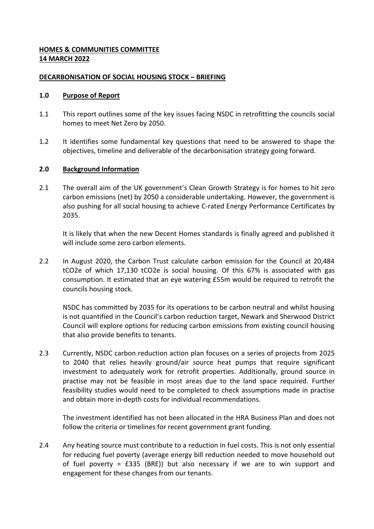# **HOMES & COMMUNITIES COMMITTEE 14 MARCH 2022**

### **DECARBONISATION OF SOCIAL HOUSING STOCK – BRIEFING**

### **1.0 Purpose of Report**

- 1.1 This report outlines some of the key issues facing NSDC in retrofitting the councils social homes to meet Net Zero by 2050.
- 1.2 It identifies some fundamental key questions that need to be answered to shape the objectives, timeline and deliverable of the decarbonisation strategy going forward.

### **2.0 Background Information**

2.1 The overall aim of the UK government's Clean Growth Strategy is for homes to hit zero carbon emissions (net) by 2050 a considerable undertaking. However, the government is also pushing for all social housing to achieve C-rated Energy Performance Certificates by 2035.

It is likely that when the new Decent Homes standards is finally agreed and published it will include some zero carbon elements.

2.2 In August 2020, the Carbon Trust calculate carbon emission for the Council at 20,484 tCO2e of which 17,130 tCO2e is social housing. Of this 67% is associated with gas consumption. It estimated that an eye watering £55m would be required to retrofit the councils housing stock.

NSDC has committed by 2035 for its operations to be carbon neutral and whilst housing is not quantified in the Council's carbon reduction target, Newark and Sherwood District Council will explore options for reducing carbon emissions from existing council housing that also provide benefits to tenants.

2.3 Currently, NSDC carbon reduction action plan focuses on a series of projects from 2025 to 2040 that relies heavily ground/air source heat pumps that require significant investment to adequately work for retrofit properties. Additionally, ground source in practise may not be feasible in most areas due to the land space required. Further feasibility studies would need to be completed to check assumptions made in practise and obtain more in-depth costs for individual recommendations.

The investment identified has not been allocated in the HRA Business Plan and does not follow the criteria or timelines for recent government grant funding.

2.4 Any heating source must contribute to a reduction in fuel costs. This is not only essential for reducing fuel poverty (average energy bill reduction needed to move household out of fuel poverty =  $£335$  (BRE)) but also necessary if we are to win support and engagement for these changes from our tenants.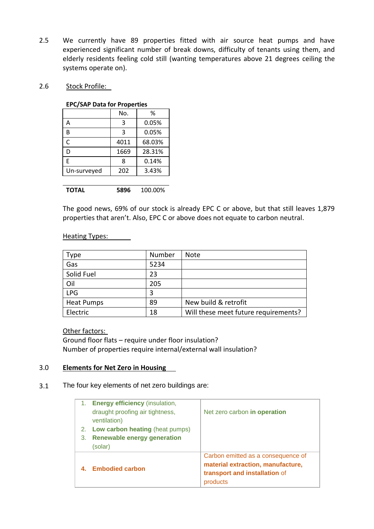- 2.5 We currently have 89 properties fitted with air source heat pumps and have experienced significant number of break downs, difficulty of tenants using them, and elderly residents feeling cold still (wanting temperatures above 21 degrees ceiling the systems operate on).
- 2.6 Stock Profile:

### **EPC/SAP Data for Properties**

|             | No.  | ℅      |  |  |
|-------------|------|--------|--|--|
| А           | 3    | 0.05%  |  |  |
| B           | 3    | 0.05%  |  |  |
| C           | 4011 | 68.03% |  |  |
| D           | 1669 | 28.31% |  |  |
| F           | 8    | 0.14%  |  |  |
| Un-surveyed | 202  | 3.43%  |  |  |
|             |      |        |  |  |

**TOTAL 5896** 100.00%

The good news, 69% of our stock is already EPC C or above, but that still leaves 1,879 properties that aren't. Also, EPC C or above does not equate to carbon neutral.

### Heating Types:

| <b>Type</b>       | Number | <b>Note</b>                          |
|-------------------|--------|--------------------------------------|
| Gas               | 5234   |                                      |
| Solid Fuel        | 23     |                                      |
| Oil               | 205    |                                      |
| <b>LPG</b>        | 3      |                                      |
| <b>Heat Pumps</b> | 89     | New build & retrofit                 |
| Electric          | 18     | Will these meet future requirements? |

Other factors:

Ground floor flats – require under floor insulation? Number of properties require internal/external wall insulation?

# 3.0 **Elements for Net Zero in Housing**

3.1 The four key elements of net zero buildings are:

| 1. | <b>Energy efficiency</b> (insulation,           |                                                                                                                      |
|----|-------------------------------------------------|----------------------------------------------------------------------------------------------------------------------|
|    | draught proofing air tightness,<br>ventilation) | Net zero carbon in operation                                                                                         |
| 2. | <b>Low carbon heating (heat pumps)</b>          |                                                                                                                      |
| 3. | <b>Renewable energy generation</b>              |                                                                                                                      |
|    | (solar)                                         |                                                                                                                      |
|    | <b>Embodied carbon</b>                          | Carbon emitted as a consequence of<br>material extraction, manufacture,<br>transport and installation of<br>products |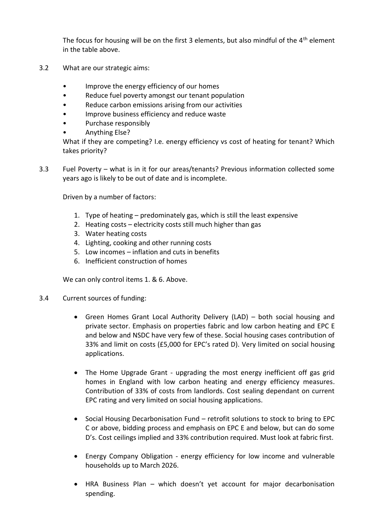The focus for housing will be on the first 3 elements, but also mindful of the  $4<sup>th</sup>$  element in the table above.

- 3.2 What are our strategic aims:
	- Improve the energy efficiency of our homes
	- Reduce fuel poverty amongst our tenant population
	- Reduce carbon emissions arising from our activities
	- Improve business efficiency and reduce waste
	- Purchase responsibly
	- Anything Else?

What if they are competing? I.e. energy efficiency vs cost of heating for tenant? Which takes priority?

3.3 Fuel Poverty – what is in it for our areas/tenants? Previous information collected some years ago is likely to be out of date and is incomplete.

Driven by a number of factors:

- 1. Type of heating predominately gas, which is still the least expensive
- 2. Heating costs electricity costs still much higher than gas
- 3. Water heating costs
- 4. Lighting, cooking and other running costs
- 5. Low incomes inflation and cuts in benefits
- 6. Inefficient construction of homes

We can only control items 1. & 6. Above.

- 3.4 Current sources of funding:
	- Green Homes Grant Local Authority Delivery (LAD) both social housing and private sector. Emphasis on properties fabric and low carbon heating and EPC E and below and NSDC have very few of these. Social housing cases contribution of 33% and limit on costs (£5,000 for EPC's rated D). Very limited on social housing applications.
	- The Home Upgrade Grant upgrading the most energy inefficient off gas grid homes in England with low carbon heating and energy efficiency measures. Contribution of 33% of costs from landlords. Cost sealing dependant on current EPC rating and very limited on social housing applications.
	- Social Housing Decarbonisation Fund retrofit solutions to stock to bring to EPC C or above, bidding process and emphasis on EPC E and below, but can do some D's. Cost ceilings implied and 33% contribution required. Must look at fabric first.
	- Energy Company Obligation energy efficiency for low income and vulnerable households up to March 2026.
	- HRA Business Plan which doesn't yet account for major decarbonisation spending.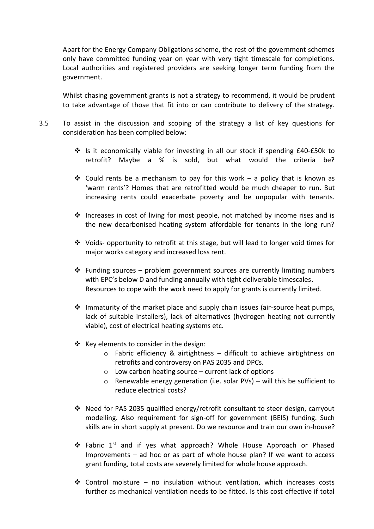Apart for the Energy Company Obligations scheme, the rest of the government schemes only have committed funding year on year with very tight timescale for completions. Local authorities and registered providers are seeking longer term funding from the government.

Whilst chasing government grants is not a strategy to recommend, it would be prudent to take advantage of those that fit into or can contribute to delivery of the strategy.

- 3.5 To assist in the discussion and scoping of the strategy a list of key questions for consideration has been complied below:
	- Is it economically viable for investing in all our stock if spending £40-£50k to retrofit? Maybe a % is sold, but what would the criteria be?
	- Could rents be a mechanism to pay for this work a policy that is known as 'warm rents'? Homes that are retrofitted would be much cheaper to run. But increasing rents could exacerbate poverty and be unpopular with tenants.
	- $\div$  Increases in cost of living for most people, not matched by income rises and is the new decarbonised heating system affordable for tenants in the long run?
	- $\div$  Voids- opportunity to retrofit at this stage, but will lead to longer void times for major works category and increased loss rent.
	- $\div$  Funding sources problem government sources are currently limiting numbers with EPC's below D and funding annually with tight deliverable timescales. Resources to cope with the work need to apply for grants is currently limited.
	- $\div$  Immaturity of the market place and supply chain issues (air-source heat pumps, lack of suitable installers), lack of alternatives (hydrogen heating not currently viable), cost of electrical heating systems etc.
	- $\div$  Key elements to consider in the design:
		- o Fabric efficiency & airtightness difficult to achieve airtightness on retrofits and controversy on PAS 2035 and DPCs.
		- $\circ$  Low carbon heating source current lack of options
		- o Renewable energy generation (i.e. solar PVs) will this be sufficient to reduce electrical costs?
	- Need for PAS 2035 qualified energy/retrofit consultant to steer design, carryout modelling. Also requirement for sign-off for government (BEIS) funding. Such skills are in short supply at present. Do we resource and train our own in-house?
	- Fabric 1st and if yes what approach? Whole House Approach or Phased Improvements – ad hoc or as part of whole house plan? If we want to access grant funding, total costs are severely limited for whole house approach.
	- $\div$  Control moisture no insulation without ventilation, which increases costs further as mechanical ventilation needs to be fitted. Is this cost effective if total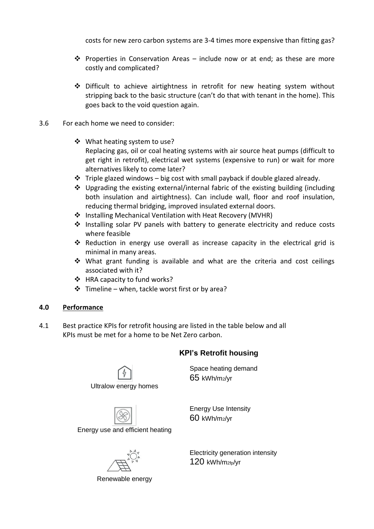costs for new zero carbon systems are 3-4 times more expensive than fitting gas?

- $\hat{\mathbf{v}}$  Properties in Conservation Areas include now or at end; as these are more costly and complicated?
- $\div$  Difficult to achieve airtightness in retrofit for new heating system without stripping back to the basic structure (can't do that with tenant in the home). This goes back to the void question again.
- 3.6 For each home we need to consider:
	- ❖ What heating system to use? Replacing gas, oil or coal heating systems with air source heat pumps (difficult to get right in retrofit), electrical wet systems (expensive to run) or wait for more alternatives likely to come later?
	- $\cdot \cdot$  Triple glazed windows big cost with small payback if double glazed already.
	- Upgrading the existing external/internal fabric of the existing building (including both insulation and airtightness). Can include wall, floor and roof insulation, reducing thermal bridging, improved insulated external doors.
	- ❖ Installing Mechanical Ventilation with Heat Recovery (MVHR)
	- $\div$  Installing solar PV panels with battery to generate electricity and reduce costs where feasible
	- Reduction in energy use overall as increase capacity in the electrical grid is minimal in many areas.
	- What grant funding is available and what are the criteria and cost ceilings associated with it?
	- ❖ HRA capacity to fund works?
	- $\div$  Timeline when, tackle worst first or by area?

# **4.0 Performance**

4.1 Best practice KPIs for retrofit housing are listed in the table below and all KPIs must be met for a home to be Net Zero carbon.

# **KPI's Retrofit housing**



Ultralow energy homes

Energy use and efficient heating

Renewable energy

Space heating demand 65 kWh/m2/yr

Energy Use Intensity 60 kWh/m2/yr

Electricity generation intensity 120 kWh/m2fp/yr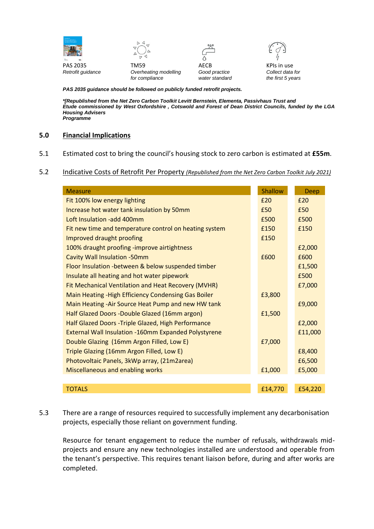



PAS 2035 **TM59 TM59** AECB **AECB** KPIs in use



*Retrofit guidance Overheating modelling Good practice Collect data for for compliance water standard the first 5 years*

*PAS 2035 guidance should be followed on publicly funded retrofit projects.*

*\*[Republished from the Net Zero Carbon Toolkit Levitt Bernstein, Elementa, Passivhaus Trust and Etude commissioned by West Oxfordshire , Cotswold and Forest of Dean District Councils, funded by the LGA Housing Advisers Programme*

### **5.0 Financial Implications**

5.1 Estimated cost to bring the council's housing stock to zero carbon is estimated at **£55m**.

#### 5.2 Indicative Costs of Retrofit Per Property *(Republished from the Net Zero Carbon Toolkit July 2021)*

| <b>Measure</b>                                              |  | Shallow | <b>Deep</b> |
|-------------------------------------------------------------|--|---------|-------------|
| Fit 100% low energy lighting                                |  | £20     | f20         |
|                                                             |  |         |             |
| Increase hot water tank insulation by 50mm                  |  | £50     | £50         |
| Loft Insulation -add 400mm                                  |  | £500    | £500        |
| Fit new time and temperature control on heating system      |  | £150    | £150        |
| Improved draught proofing                                   |  | £150    |             |
| 100% draught proofing -improve airtightness                 |  |         | £2,000      |
| <b>Cavity Wall Insulation -50mm</b>                         |  | £600    | £600        |
| Floor Insulation - between & below suspended timber         |  |         | £1,500      |
| Insulate all heating and hot water pipework                 |  |         | £500        |
| Fit Mechanical Ventilation and Heat Recovery (MVHR)         |  |         | £7,000      |
| Main Heating - High Efficiency Condensing Gas Boiler        |  | £3,800  |             |
| Main Heating - Air Source Heat Pump and new HW tank         |  |         | £9,000      |
| Half Glazed Doors -Double Glazed (16mm argon)               |  | £1,500  |             |
| Half Glazed Doors - Triple Glazed, High Performance         |  |         | £2,000      |
| <b>External Wall Insulation -160mm Expanded Polystyrene</b> |  |         | £11,000     |
| Double Glazing (16mm Argon Filled, Low E)                   |  | £7,000  |             |
| Triple Glazing (16mm Argon Filled, Low E)                   |  |         | £8,400      |
| Photovoltaic Panels, 3kWp array, (21m2area)                 |  |         | £6,500      |
| Miscellaneous and enabling works                            |  | £1,000  | £5,000      |
|                                                             |  |         |             |
| <b>TOTALS</b>                                               |  | £14,770 | £54,220     |

5.3 There are a range of resources required to successfully implement any decarbonisation projects, especially those reliant on government funding.

Resource for tenant engagement to reduce the number of refusals, withdrawals midprojects and ensure any new technologies installed are understood and operable from the tenant's perspective. This requires tenant liaison before, during and after works are completed.